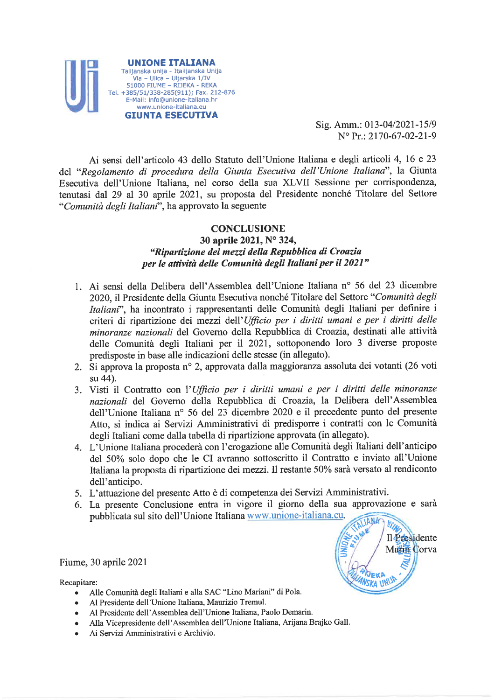

Sig. Amm.: 013-04/2021-15/9  $N^{\circ}$  Pr.: 2170-67-02-21-9

> Il Presidente Marin Corva

JEKI

Wska <del>w</del>

Ai sensi dell'articolo 43 dello Statuto dell'Unione Italiana e degli articoli 4, 16 e 23 del "Regolamento di procedura della Giunta Esecutiva dell'Unione Italiana", la Giunta Esecutiva dell'Unione Italiana, nel corso della sua XLVII Sessione per corrispondenza, tenutasi dal 29 al 30 aprile 2021, su proposta del Presidente nonché Titolare del Settore "Comunità degli Italiani", ha approvato la seguente

# **CONCLUSIONE**

# 30 aprile 2021, N° 324, "Ripartizione dei mezzi della Repubblica di Croazia per le attività delle Comunità degli Italiani per il 2021"

- 1. Ai sensi della Delibera dell'Assemblea dell'Unione Italiana nº 56 del 23 dicembre 2020, il Presidente della Giunta Esecutiva nonché Titolare del Settore "Comunità degli Italiani", ha incontrato i rappresentanti delle Comunità degli Italiani per definire i criteri di ripartizione dei mezzi dell'Ufficio per i diritti umani e per i diritti delle minoranze nazionali del Governo della Repubblica di Croazia, destinati alle attività delle Comunità degli Italiani per il 2021, sottoponendo loro 3 diverse proposte predisposte in base alle indicazioni delle stesse (in allegato).
- 2. Si approva la proposta nº 2, approvata dalla maggioranza assoluta dei votanti (26 voti su 44).
- 3. Visti il Contratto con l'Ufficio per i diritti umani e per i diritti delle minoranze nazionali del Governo della Repubblica di Croazia, la Delibera dell'Assemblea dell'Unione Italiana nº 56 del 23 dicembre 2020 e il precedente punto del presente Atto, si indica ai Servizi Amministrativi di predisporre i contratti con le Comunità degli Italiani come dalla tabella di ripartizione approvata (in allegato).
- 4. L'Unione Italiana procederà con l'erogazione alle Comunità degli Italiani dell'anticipo del 50% solo dopo che le CI avranno sottoscritto il Contratto e inviato all'Unione Italiana la proposta di ripartizione dei mezzi. Il restante 50% sarà versato al rendiconto dell'anticipo.
- 5. L'attuazione del presente Atto è di competenza dei Servizi Amministrativi.
- 6. La presente Conclusione entra in vigore il giorno della sua approvazione e sarà pubblicata sul sito dell'Unione Italiana www.unione-italiana.eu. VIIN

### Fiume, 30 aprile 2021

Recapitare:

- · Alle Comunità degli Italiani e alla SAC "Lino Mariani" di Pola.
- Al Presidente dell'Unione Italiana, Maurizio Tremul.  $\bullet$
- · Al Presidente dell'Assemblea dell'Unione Italiana, Paolo Demarin.
- Alla Vicepresidente dell'Assemblea dell'Unione Italiana, Arijana Brajko Gall.  $\bullet$
- Ai Servizi Amministrativi e Archivio.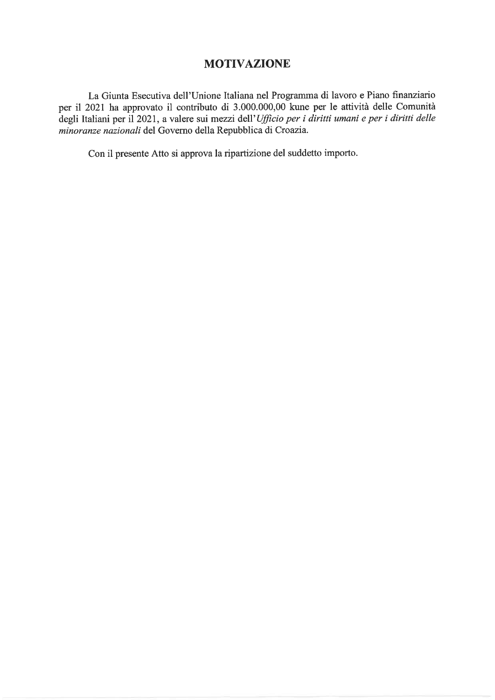# **MOTIVAZIONE**

La Giunta Esecutiva dell'Unione Italiana nel Programma di lavoro e Piano finanziario per il 2021 ha approvato il contributo di 3.000.000,00 kune per le attività delle Comunità degli Italiani per il 2021, a valere sui mezzi dell'Ufficio per i diritti umani e per i diritti delle minoranze nazionali del Governo della Repubblica di Croazia.

Con il presente Atto si approva la ripartizione del suddetto importo.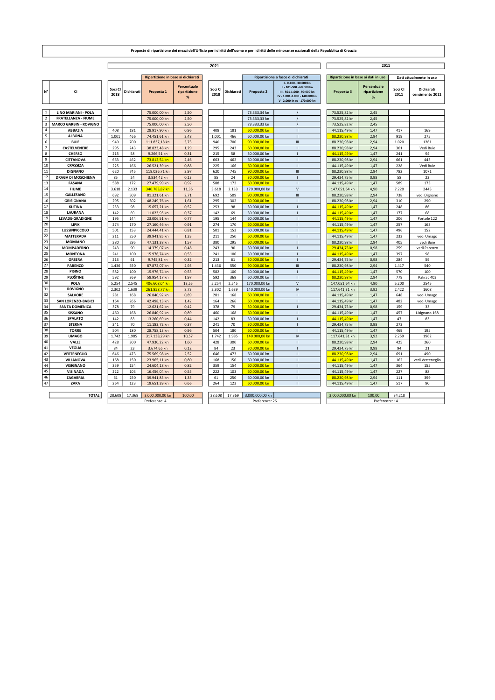|                         |                               |                 |              |                                    |                                  |                 |                |                               | 2011                                                                                                                                            |                                     |                                  |                 |                               |  |
|-------------------------|-------------------------------|-----------------|--------------|------------------------------------|----------------------------------|-----------------|----------------|-------------------------------|-------------------------------------------------------------------------------------------------------------------------------------------------|-------------------------------------|----------------------------------|-----------------|-------------------------------|--|
|                         |                               | 2021            |              |                                    |                                  |                 |                |                               |                                                                                                                                                 |                                     |                                  |                 |                               |  |
|                         |                               |                 |              | Ripartizione in base ai dichiarati |                                  |                 |                |                               | Ripartizione a fasce di dichiarati                                                                                                              | Ripartizione in base ai dati in uso |                                  |                 | Dati attualmente in uso       |  |
| N°                      | CI                            | Soci CI<br>2018 | Dichiarati   | Proposta 1                         | Percentuale<br>ripartizione<br>% | Soci CI<br>2018 | Dichiarati     | Proposta 2                    | I-0-100 - 30.000 kn<br>II - 101-500 - 60.000 kn<br>III - 501-1.000 - 90.000 kn<br>IV - 1.001-2.000 - 140.000 kn<br>V - 2.000-in su - 170.000 kn | Proposta 3                          | Percentuale<br>ripartizione<br>% | Soci CI<br>2011 | Dichiarati<br>censimento 2011 |  |
| $\overline{1}$          | <b>LINO MARIANI - POLA</b>    |                 |              | 75.000,00 kn                       | 2.50                             |                 |                | 73.333,34 kn                  |                                                                                                                                                 | 73.525,82 kn                        | 2.45                             |                 |                               |  |
| $\overline{2}$          | <b>FRATELLANZA - FIUME</b>    |                 |              | 75.000,00 kn                       | 2,50                             |                 |                | 73.333,33 kn                  |                                                                                                                                                 | 73.525,82 kn                        | 2,45                             |                 |                               |  |
| $\overline{\mathbf{3}}$ | <b>MARCO GARBIN - ROVIGNO</b> |                 |              | 75.000,00 kn                       | 2,50                             |                 |                | 73.333,33 kn                  |                                                                                                                                                 | 73.525,82 kn                        | 2,45                             |                 |                               |  |
| $\sqrt{4}$              | ABBAZIA                       | 408             | 181          | 28.917,90 kn                       | 0,96                             | 408             | 181            | 60.000,00 kn                  | $\rm H$                                                                                                                                         | 44.115,49 kn                        | 1,47                             | 417             | 169                           |  |
| ${\bf 5}$               | <b>ALBONA</b>                 | 1.001           | 466          | 74.451,61 kn                       | 2,48                             | 1.001           | 466            | 60.000,00 kn                  | $\mathbf{H}$                                                                                                                                    | 88.230,98 kn                        | 2,94                             | 919             | 275                           |  |
| $\,6\,$                 | <b>BUIE</b>                   | 940             | 700          | 111.837,18 kn                      | 3,73                             | 940             | 700            | 90.000,00 kn                  | $\mathsf{III}$                                                                                                                                  | 88.230,98 kn                        | 2,94                             | 1.020           | 1261                          |  |
| $\overline{7}$          | CASTELVENERE                  | 295             | 243          | 38.823,48 kn                       | 1,29                             | 295             | 243            | 60.000,00 kn                  | $\rm H$                                                                                                                                         | 88.230,98 kn                        | 2,94                             | 301             | Vedi Buie                     |  |
| $\bf{8}$                | <b>CHERSO</b>                 | 215             | 58           | 9.266,51 kn                        | 0,31                             | 215             | 58             | 30.000,00 kn                  |                                                                                                                                                 | 44.115,49 kn                        | 1,47                             | 241             | 94                            |  |
| $\boldsymbol{9}$        | CITTANOVA                     | 663             | 462          | 73.812,54 kn                       | 2,46                             | 663             | 462            | 60.000,00 kn                  | $\rm H$                                                                                                                                         | 88.230,98 kn                        | 2,94                             | 661             | 443                           |  |
| 10                      | CRASSIZA                      | 225             | 166          | 26.521,39 kn                       | 0,88                             | 225             | 166            | 60.000,00 kn                  | Ш                                                                                                                                               | 44.115,49 kn                        | 1,47                             | 228             | Vedi Buie                     |  |
| 11<br>12                | <b>DIGNANO</b>                | 620             | 745          | 119.026,71 kn                      | 3,97                             | 620             | 745            | 90.000,00 kn                  | Ш                                                                                                                                               | 88.230,98 kn                        | 2,94                             | 782             | 1071                          |  |
| 13                      | <b>DRAGA DI MOSCHIENA</b>     | 85              | 24           | 3.834,42 kn                        | 0.13                             | 85              | 24             | 30,000,00 kn                  |                                                                                                                                                 | 29.434,75 kn                        | 0,98                             | 58              | 22                            |  |
| 14                      | <b>FASANA</b><br><b>FIUME</b> | 588             | 172          | 27.479,99 kn                       | 0,92                             | 588             | 172            | 60.000,00 kn                  | $\mathbf{H}$<br>$\vee$                                                                                                                          | 44.115,49 kn                        | 1,47                             | 589             | 173                           |  |
| $\overline{15}$         | <b>GALLESANO</b>              | 3.618<br>692    | 2.133<br>509 | 340.783,87 kn<br>81.321.61 kn      | 11,36<br>2.71                    | 3.618<br>692    | 2.133<br>509   | 170.000,00 kn<br>90.000.00 kn | $\mathbf{H}$                                                                                                                                    | 147.051,64 kn<br>88.230.98 kn       | 4,90<br>2.94                     | 7.220<br>738    | 2445                          |  |
| 16                      | <b>GRISIGNANA</b>             | 295             | 302          | 48.249,76 kn                       | 1.61                             | 295             | 302            | 60.000.00 kn                  | $\mathbf{H}$                                                                                                                                    | 88.230,98 kn                        | 2.94                             | 310             | vedi Dignano<br>290           |  |
| 17                      | <b>KUTINA</b>                 | 253             | 98           | 15.657,21 kn                       | 0,52                             | 253             | 98             | 30.000,00 kn                  |                                                                                                                                                 | 44.115,49 kn                        | 1,47                             | 248             | 86                            |  |
| <b>18</b>               | LAURANA                       | 142             | 69           | 11.023.95 kn                       | 0.37                             | 142             | 69             | 30.000,00 kn                  | $\overline{1}$                                                                                                                                  | 44.115.49 kn                        | 1.47                             | 177             | 68                            |  |
| 19                      | LEVADE-GRADIGNE               | 195             | 144          | 23.006,51 kn                       | 0.77                             | 195             | 144            | 60.000,00 kn                  | $\mathbf{H}$                                                                                                                                    | 44.115.49 kn                        | 1,47                             | 206             | Portole 122                   |  |
| 20                      | <b>LIPIK</b>                  | 274             | 170          | 27.160,46 kn                       | 0,91                             | 274             | 170            | 60.000,00 kn                  | $\mathbf{H}$                                                                                                                                    | 44.115,49 kn                        | 1.47                             | 257             | 163                           |  |
| 21                      | LUSSINPICCOLO                 | 501             | 153          | 24.444,41 kn                       | 0,81                             | 501             | 153            | 60.000,00 kn                  | $\mathbf{H}$                                                                                                                                    | 44.115,49 kn                        | 1,47                             | 496             | 152                           |  |
| 22                      | <b>MATTERADA</b>              | 211             | 250          | 39.941,85 kn                       | 1,33                             | 211             | 250            | 60.000,00 kn                  | $\mathbf{H}$                                                                                                                                    | 44.115,49 kn                        | 1.47                             | 232             | vedi Umago                    |  |
| 23                      | <b>MOMIANO</b>                | 380             | 295          | 47.131,38 kn                       | 1,57                             | 380             | 295            | 60.000,00 kn                  | $\rm H$                                                                                                                                         | 88.230,98 kn                        | 2,94                             | 405             | vedi Buie                     |  |
| 24                      | <b>MOMPADERNO</b>             | 243             | 90           | 14.379,07 kn                       | 0,48                             | 243             | 90             | 30.000,00 kn                  |                                                                                                                                                 | 29.434,75 kn                        | 0,98                             | 259             | vedi Parenzo                  |  |
| 25                      | <b>MONTONA</b>                | 241             | 100          | 15.976,74 kn                       | 0,53                             | 241             | 100            | 30.000,00 kn                  |                                                                                                                                                 | 44.115.49 kn                        | 1,47                             | 397             | 98                            |  |
| 26                      | ORSERA                        | 213             | 61           | 9.745,81 kn                        | 0,32                             | 213             | 61             | 30.000,00 kn                  |                                                                                                                                                 | 29.434,75 kn                        | 0,98                             | 284             | 59                            |  |
| $\overline{27}$         | <b>PARENZO</b>                | 1.436           | 550          | 87.872,07 kn                       | 2,93                             | 1.436           | 550            | 90.000,00 kn                  | $\mathsf{III}\xspace$                                                                                                                           | 88.230,98 kn                        | 2,94                             | 1.417           | 540                           |  |
| 28                      | <b>PISINO</b>                 | 582             | 100          | 15.976,74 kn                       | 0,53                             | 582             | 100            | 30.000,00 kn                  |                                                                                                                                                 | 44.115,49 kn                        | 1,47                             | 570             | 100                           |  |
| 29                      | PLOŠTINE                      | 592             | 369          | 58.954,17 kn                       | 1,97                             | 592             | 369            | 60.000,00 kn                  | $\rm H$                                                                                                                                         | 88.230,98 kn                        | 2,94                             | 779             | Pakrac 403                    |  |
| 30                      | POLA                          | 5.254           | 2.545        | 406.608,04 kn                      | 13,55                            | 5.254           | 2.545          | 170.000,00 kn                 | $\vee$                                                                                                                                          | 147.051,64 kn                       | 4,90                             | 5.200           | 2545                          |  |
| 31                      | <b>ROVIGNO</b>                | 2.302           | 1.639        | 261.858,77 kn                      | 8,73                             | 2.302           | 1.639          | 140.000,00 kn                 | $\mathsf{IV}$                                                                                                                                   | 117.641,31 kn                       | 3,92                             | 2.422           | 1608                          |  |
| 32                      | <b>SALVORE</b>                | 281             | 168          | 26.840,92 kn                       | 0.89                             | 281             | 168            | 60.000.00 kn                  | $\mathbf{H}$                                                                                                                                    | 44.115,49 kn                        | 1,47                             | 648             | vedi Umago                    |  |
| 33                      | SAN LORENZO-BABICI            | 164             | 266          | 42.498,13 kn                       | 1,42                             | 164             | 266            | 60.000.00 kn                  | $\mathbf{H}$                                                                                                                                    | 44.115,49 kn                        | 1,47                             | 482             | vedi Umago                    |  |
| 34<br>$\overline{35}$   | <b>SANTA DOMENICA</b>         | 378             | 79           | 12.621,62 kn                       | 0,42                             | 378             | 79             | 30.000,00 kn                  |                                                                                                                                                 | 29.434,75 kn                        | 0,98                             | 159             | 33                            |  |
| 36                      | <b>SISSANO</b>                | 460             | 168          | 26.840,92 kn                       | 0.89                             | 460             | 168            | 60.000.00 kn                  | $\mathbf{H}$                                                                                                                                    | 44.115,49 kn                        | 1,47                             | 457             | Lisignano 168                 |  |
| 37                      | <b>SPALATO</b>                | 142             | 83<br>70     | 13.260,69 kn                       | 0.44                             | 142             | 83             | 30.000,00 kn                  |                                                                                                                                                 | 44.115,49 kn                        | 1,47                             | 47              | 83                            |  |
| 38                      | <b>STERNA</b><br><b>TORRE</b> | 241<br>504      | 180          | 11.183,72 kn<br>28.758,13 kn       | 0,37<br>0,96                     | 241<br>504      | 70<br>180      | 30.000,00 kn<br>60.000,00 kn  | $\rm H$                                                                                                                                         | 29.434,75 kn<br>44.115,49 kn        | 0,98<br>1,47                     | 273<br>469      | 195                           |  |
| 39                      | <b>UMAGO</b>                  | 1.742           | 1.985        | 317.138,29 kn                      | 10.57                            | 1.742           | 1.985          | 140.000.00 kn                 | IV.                                                                                                                                             | 117.641,31 kn                       | 3.92                             | 2.259           | 1962                          |  |
| 40                      | VALLE                         | 428             | 300          | 47.930,22 kn                       | 1,60                             | 428             | 300            | 60.000,00 kn                  | $\mathbf{H}$                                                                                                                                    | 88.230,98 kn                        | 2.94                             | 425             | 260                           |  |
| 41                      | <b>VEGLIA</b>                 | 84              | 23           | 3.674,65 kn                        | 0,12                             | 84              | 23             | 30.000.00 kn                  | $\overline{1}$                                                                                                                                  | 29.434,75 kn                        | 0,98                             | 94              | 21                            |  |
| 42                      | <b>VERTENEGLIO</b>            | 646             | 473          | 75.569,98 kn                       | 2,52                             | 646             | 473            | 60.000,00 kn                  | $\mathbf{H}$                                                                                                                                    | 88.230,98 kn                        | 2,94                             | 691             | 490                           |  |
| 43                      | <b>VILLANOVA</b>              | 168             | 150          | 23.965,11 kn                       | 0,80                             | 168             | 150            | 60.000,00 kn                  | $\mathbf{H}$                                                                                                                                    | 44.115,49 kn                        | 1.47                             | 162             | vedi Verteneglio              |  |
| 44                      | <b>VISIGNANO</b>              | 359             | 154          | 24.604,18 kn                       | 0,82                             | 359             | 154            | 60.000,00 kn                  | $\mathbf{H}$                                                                                                                                    | 44.115,49 kn                        | 1,47                             | 364             | 155                           |  |
| 45                      | <b>VISINADA</b>               | 222             | 103          | 16.456,04 kn                       | 0,55                             | 222             | 103            | 60.000,00 kn                  | $\mathbf{H}$                                                                                                                                    | 44.115,49 kn                        | 1.47                             | 227             | 88                            |  |
| 46                      | ZAGABRIA                      | 61              | 250          | 39.941,85 kn                       | 1,33                             | 61              | 250            | 60.000,00 kn                  | $\mathbf{H}$                                                                                                                                    | 88.230,98 kn                        | 2,94                             | 111             | 399                           |  |
| 47                      | ZARA                          | 264             | 123          | 19.651,39 kn                       | 0,66                             | 264             | 123            | 60.000,00 kn                  | $\mathbf{H}$                                                                                                                                    | 44.115,49 kn                        | 1.47                             | 517             | 90                            |  |
|                         |                               |                 |              |                                    |                                  |                 |                |                               |                                                                                                                                                 |                                     |                                  |                 |                               |  |
|                         | <b>TOTALI</b>                 | 28.608          | 17.369       | 3.000.000,00 kn                    | 100,00                           | 28,608          | 17.369         | 3.000.000,00 kn               |                                                                                                                                                 | 3.000.000,00 kn                     | 100,00                           | 34.218          |                               |  |
|                         |                               | Preferenze: 4   |              |                                    |                                  |                 | Preferenze: 26 |                               |                                                                                                                                                 |                                     | Preferenze: 14                   |                 |                               |  |

#### Proposte di ripartizione dei mezzi dell'Ufficio per i diritti dell'uomo e per i diritti delle minoranze nazionali della Repubblica di Croazia